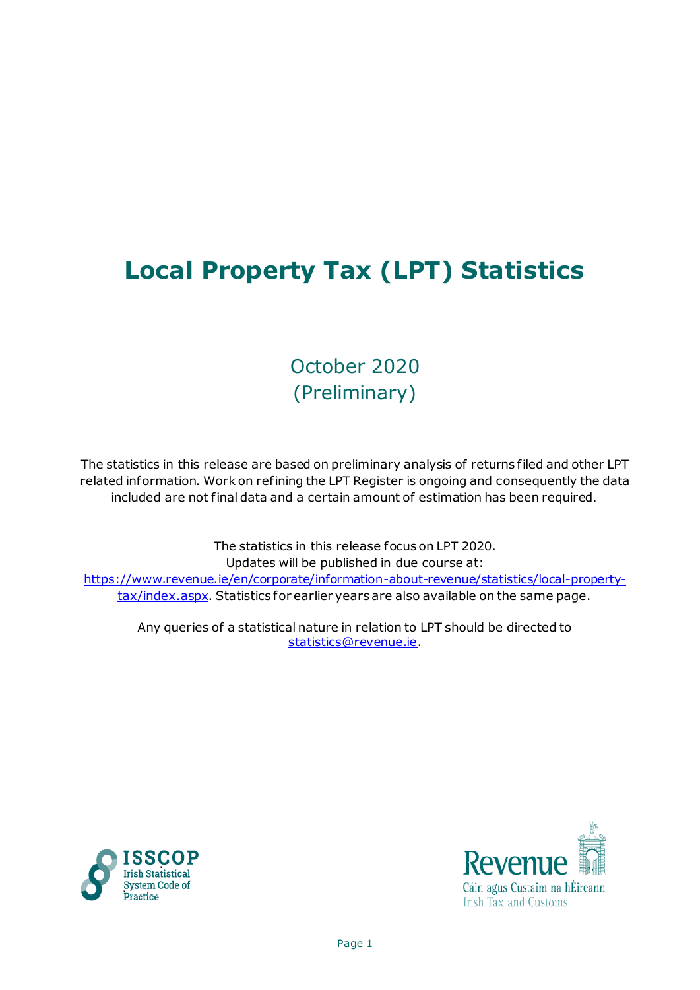# **Local Property Tax (LPT) Statistics**

# October 2020 (Preliminary)

The statistics in this release are based on preliminary analysis of returns filed and other LPT related information. Work on refining the LPT Register is ongoing and consequently the data included are not final data and a certain amount of estimation has been required.

The statistics in this release focus on LPT 2020. Updates will be published in due course at: [https://www.revenue.ie/en/corporate/information-about-revenue/statistics/local-property](https://www.revenue.ie/en/corporate/information-about-revenue/statistics/local-property-tax/index.aspx)[tax/index.aspx.](https://www.revenue.ie/en/corporate/information-about-revenue/statistics/local-property-tax/index.aspx) Statistics for earlier years are also available on the same page.

Any queries of a statistical nature in relation to LPT should be directed to [statistics@revenue.ie.](mailto:statistics@revenue.ie)



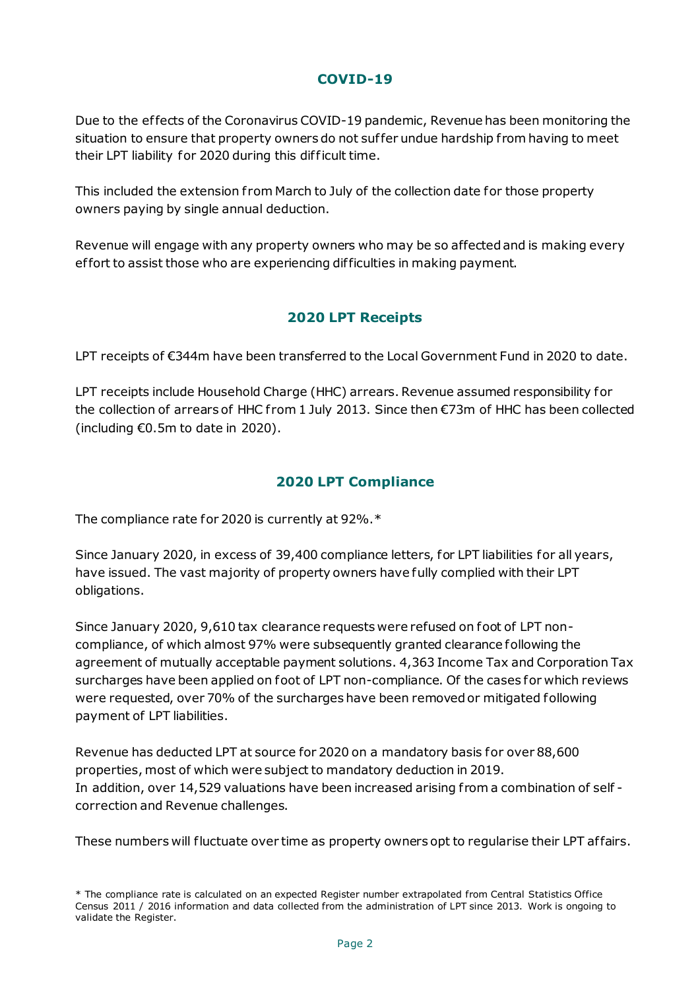#### **COVID-19**

Due to the effects of the Coronavirus COVID-19 pandemic, Revenue has been monitoring the situation to ensure that property owners do not suffer undue hardship from having to meet their LPT liability for 2020 during this dif ficult time.

This included the extension from March to July of the collection date for those property owners paying by single annual deduction.

Revenue will engage with any property owners who may be so affected and is making every ef fort to assist those who are experiencing dif ficulties in making payment.

### **2020 LPT Receipts**

LPT receipts of €344m have been transferred to the Local Government Fund in 2020 to date.

LPT receipts include Household Charge (HHC) arrears. Revenue assumed responsibility for the collection of arrears of HHC from 1 July 2013. Since then €73m of HHC has been collected (including €0.5m to date in 2020).

#### **2020 LPT Compliance**

The compliance rate for 2020 is currently at 92%.\*

Since January 2020, in excess of 39,400 compliance letters, for LPT liabilities for all years, have issued. The vast majority of property owners have fully complied with their LPT obligations.

Since January 2020, 9,610 tax clearance requests were refused on foot of LPT noncompliance, of which almost 97% were subsequently granted clearance following the agreement of mutually acceptable payment solutions. 4,363 Income Tax and Corporation Tax surcharges have been applied on foot of LPT non-compliance. Of the cases for which reviews were requested, over 70% of the surcharges have been removed or mitigated following payment of LPT liabilities.

Revenue has deducted LPT at source for 2020 on a mandatory basis for over 88,600 properties, most of which were subject to mandatory deduction in 2019. In addition, over 14,529 valuations have been increased arising from a combination of self correction and Revenue challenges.

These numbers will fluctuate over time as property owners opt to regularise their LPT af fairs.

<sup>\*</sup> The compliance rate is calculated on an expected Register number extrapolated from Central Statistics Office Census 2011 / 2016 information and data collected from the administration of LPT since 2013. Work is ongoing to validate the Register.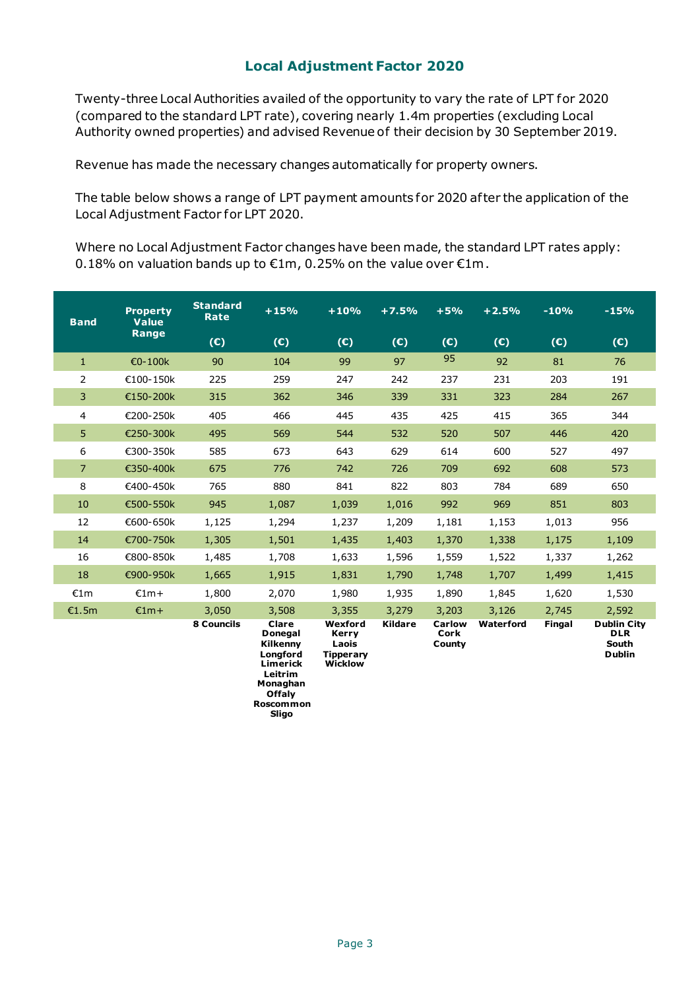#### **Local Adjustment Factor 2020**

Twenty-three Local Authorities availed of the opportunity to vary the rate of LPT for 2020 (compared to the standard LPT rate), covering nearly 1.4m properties (excluding Local Authority owned properties) and advised Revenue of their decision by 30 September 2019.

Revenue has made the necessary changes automatically for property owners.

The table below shows a range of LPT payment amounts for 2020 af ter the application of the Local Adjustment Factor for LPT 2020.

Where no Local Adjustment Factor changes have been made, the standard LPT rates apply: 0.18% on valuation bands up to €1m, 0.25% on the value over €1m.

| <b>Band</b>    | <b>Property</b><br><b>Value</b> | <b>Standard</b><br><b>Rate</b> | $+15%$                                                                             | $+10%$                                                          | $+7.5%$        | $+5%$                    | $+2.5%$   | $-10%$ | $-15%$                                                            |
|----------------|---------------------------------|--------------------------------|------------------------------------------------------------------------------------|-----------------------------------------------------------------|----------------|--------------------------|-----------|--------|-------------------------------------------------------------------|
|                | Range                           | (C)                            | (E)                                                                                | (E)                                                             | (E)            | (E)                      | (E)       | (E)    | (E)                                                               |
| $\mathbf{1}$   | €0-100k                         | 90                             | 104                                                                                | 99                                                              | 97             | 95                       | 92        | 81     | 76                                                                |
| $\overline{2}$ | €100-150k                       | 225                            | 259                                                                                | 247                                                             | 242            | 237                      | 231       | 203    | 191                                                               |
| 3              | €150-200k                       | 315                            | 362                                                                                | 346                                                             | 339            | 331                      | 323       | 284    | 267                                                               |
| 4              | €200-250k                       | 405                            | 466                                                                                | 445                                                             | 435            | 425                      | 415       | 365    | 344                                                               |
| 5              | €250-300k                       | 495                            | 569                                                                                | 544                                                             | 532            | 520                      | 507       | 446    | 420                                                               |
| 6              | €300-350k                       | 585                            | 673                                                                                | 643                                                             | 629            | 614                      | 600       | 527    | 497                                                               |
| $\overline{7}$ | €350-400k                       | 675                            | 776                                                                                | 742                                                             | 726            | 709                      | 692       | 608    | 573                                                               |
| 8              | €400-450k                       | 765                            | 880                                                                                | 841                                                             | 822            | 803                      | 784       | 689    | 650                                                               |
| 10             | €500-550k                       | 945                            | 1,087                                                                              | 1,039                                                           | 1,016          | 992                      | 969       | 851    | 803                                                               |
| 12             | €600-650k                       | 1,125                          | 1,294                                                                              | 1,237                                                           | 1,209          | 1,181                    | 1,153     | 1,013  | 956                                                               |
| 14             | €700-750k                       | 1,305                          | 1,501                                                                              | 1,435                                                           | 1,403          | 1,370                    | 1,338     | 1,175  | 1,109                                                             |
| 16             | €800-850k                       | 1,485                          | 1,708                                                                              | 1,633                                                           | 1,596          | 1,559                    | 1,522     | 1,337  | 1,262                                                             |
| 18             | €900-950k                       | 1,665                          | 1,915                                                                              | 1,831                                                           | 1,790          | 1,748                    | 1,707     | 1,499  | 1,415                                                             |
| E1m            | $E1m+$                          | 1,800                          | 2,070                                                                              | 1,980                                                           | 1,935          | 1,890                    | 1,845     | 1,620  | 1,530                                                             |
| €1.5m          | $£1m+$                          | 3,050                          | 3,508                                                                              | 3,355                                                           | 3,279          | 3,203                    | 3,126     | 2,745  | 2,592                                                             |
|                |                                 | <b>8 Councils</b>              | Clare<br>Donegal<br>Kilkenny<br>Longford<br><b>Limerick</b><br>Leitrim<br>Monaghan | Wexford<br>Kerry<br>Laois<br><b>Tipperary</b><br><b>Wicklow</b> | <b>Kildare</b> | Carlow<br>Cork<br>County | Waterford | Fingal | <b>Dublin City</b><br><b>DLR</b><br><b>South</b><br><b>Dublin</b> |

**Offaly Roscommon Sligo**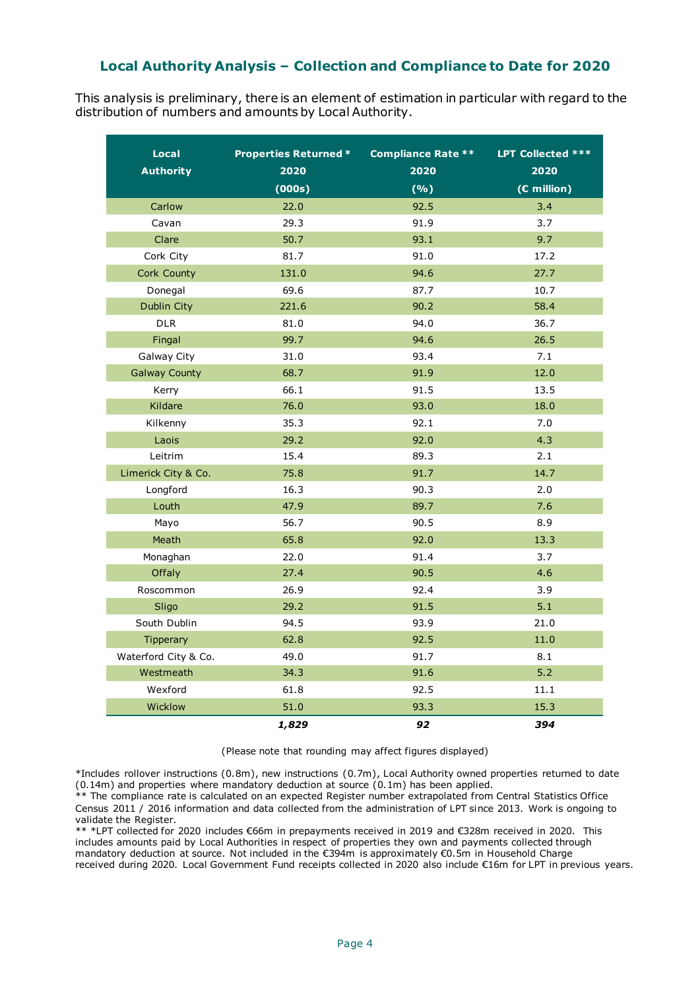#### **Local Authority Analysis – Collection and Compliance to Date for 2020**

This analysis is preliminary, there is an element of estimation in particular with regard to the distribution of numbers and amounts by Local Authority.

| <b>Local</b>         | <b>Properties Returned *</b> Compliance Rate ** |      | LPT Collected *** |  |  |
|----------------------|-------------------------------------------------|------|-------------------|--|--|
| <b>Authority</b>     | 2020                                            | 2020 | 2020              |  |  |
|                      | (000s)                                          | (%)  | (€ million)       |  |  |
| Carlow               | 22.0                                            | 92.5 | 3.4               |  |  |
| Cavan                | 29.3                                            | 91.9 | 3.7               |  |  |
| Clare                | 50.7                                            | 93.1 | 9.7               |  |  |
| Cork City            | 81.7                                            | 91.0 | 17.2              |  |  |
| <b>Cork County</b>   | 131.0                                           | 94.6 | 27.7              |  |  |
| Donegal              | 69.6                                            | 87.7 | 10.7              |  |  |
| <b>Dublin City</b>   | 221.6                                           | 90.2 | 58.4              |  |  |
| <b>DLR</b>           | 81.0                                            | 94.0 | 36.7              |  |  |
| Fingal               | 99.7                                            | 94.6 | 26.5              |  |  |
| <b>Galway City</b>   | 31.0                                            | 93.4 | 7.1               |  |  |
| <b>Galway County</b> | 68.7                                            | 91.9 | 12.0              |  |  |
| Kerry                | 66.1                                            | 91.5 | 13.5              |  |  |
| Kildare              | 76.0                                            | 93.0 | 18.0              |  |  |
| Kilkenny             | 35.3                                            | 92.1 | 7.0               |  |  |
| Laois                | 29.2                                            | 92.0 | 4.3               |  |  |
| Leitrim              | 15.4                                            | 89.3 | 2.1               |  |  |
| Limerick City & Co.  | 75.8                                            | 91.7 | 14.7              |  |  |
| Longford             | 16.3                                            | 90.3 | 2.0               |  |  |
| Louth                | 47.9                                            | 89.7 | 7.6               |  |  |
| Mayo                 | 56.7                                            | 90.5 | 8.9               |  |  |
| Meath                | 65.8                                            | 92.0 | 13.3              |  |  |
| Monaghan             | 22.0                                            | 91.4 | 3.7               |  |  |
| Offaly               | 27.4                                            | 90.5 | 4.6               |  |  |
| Roscommon            | 26.9                                            | 92.4 | 3.9               |  |  |
| Sligo                | 29.2                                            | 91.5 | 5.1               |  |  |
| South Dublin         | 94.5                                            | 93.9 | 21.0              |  |  |
| <b>Tipperary</b>     | 62.8                                            | 92.5 | 11.0              |  |  |
| Waterford City & Co. | 49.0                                            | 91.7 | 8.1               |  |  |
| Westmeath            | 34.3                                            | 91.6 | 5.2               |  |  |
| Wexford              | 61.8                                            | 92.5 | 11.1              |  |  |
| Wicklow              | 51.0                                            | 93.3 | 15.3              |  |  |
|                      | 1,829                                           | 92   | 394               |  |  |

(Please note that rounding may affect figures displayed)

\*Includes rollover instructions (0.8m), new instructions (0.7m), Local Authority owned properties returned to date (0.14m) and properties where mandatory deduction at source (0.1m) has been applied.

\*\* The compliance rate is calculated on an expected Register number extrapolated from Central Statistics Office Census 2011 / 2016 information and data collected from the administration of LPT since 2013. Work is ongoing to validate the Register.

\*\* \*LPT collected for 2020 includes €66m in prepayments received in 2019 and €328m received in 2020. This includes amounts paid by Local Authorities in respect of properties they own and payments collected through mandatory deduction at source. Not included in the €394m is approximately €0.5m in Household Charge received during 2020. Local Government Fund receipts collected in 2020 also include €16m for LPT in previous years.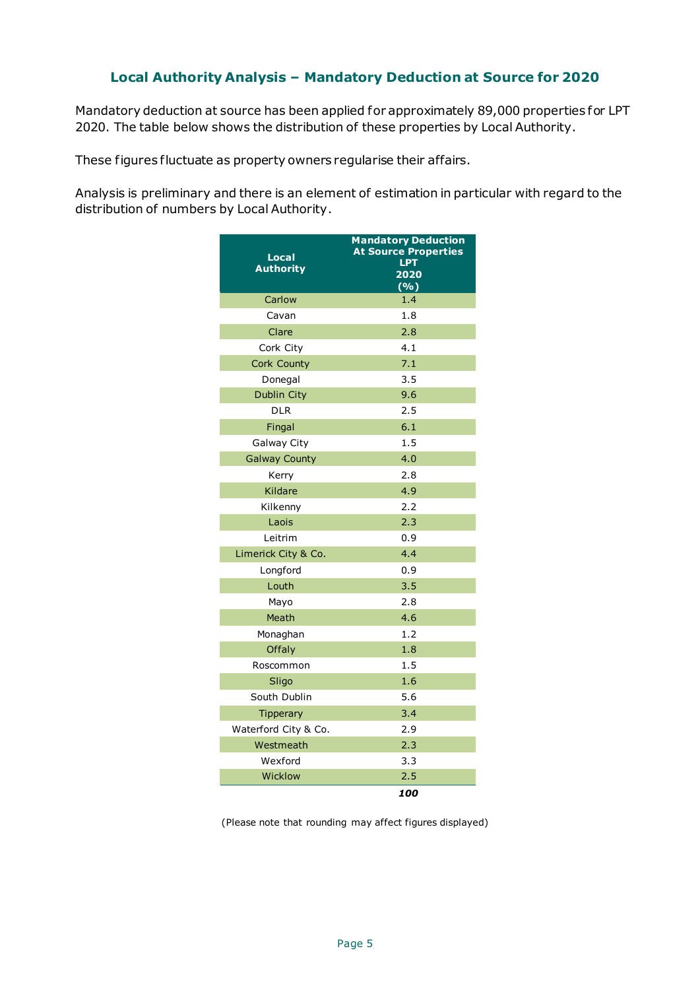#### **Local Authority Analysis – Mandatory Deduction at Source for 2020**

Mandatory deduction at source has been applied for approximately 89,000 properties for LPT 2020. The table below shows the distribution of these properties by Local Authority.

These figures fluctuate as property owners regularise their affairs.

Analysis is preliminary and there is an element of estimation in particular with regard to the distribution of numbers by Local Authority.

| Local<br><b>Authority</b> | <b>Mandatory Deduction</b><br><b>At Source Properties</b><br><b>LPT</b><br>2020<br>(%) |
|---------------------------|----------------------------------------------------------------------------------------|
| Carlow                    | 1.4                                                                                    |
| Cavan                     | 1.8                                                                                    |
| Clare                     | 2.8                                                                                    |
| Cork City                 | 4.1                                                                                    |
| Cork County               | 7.1                                                                                    |
| Donegal                   | 3.5                                                                                    |
| <b>Dublin City</b>        | 9.6                                                                                    |
| <b>DLR</b>                | 2.5                                                                                    |
| Fingal                    | 6.1                                                                                    |
| Galway City               | 1.5                                                                                    |
| <b>Galway County</b>      | 4.0                                                                                    |
| Kerry                     | 2.8                                                                                    |
| Kildare                   | 4.9                                                                                    |
| Kilkenny                  | 2.2                                                                                    |
| Laois                     | 2.3                                                                                    |
| Leitrim                   | 0.9                                                                                    |
| Limerick City & Co.       | 4.4                                                                                    |
| Longford                  | 0.9                                                                                    |
| Louth                     | 3.5                                                                                    |
| Mayo                      | 2.8                                                                                    |
| Meath                     | 4.6                                                                                    |
| Monaghan                  | 1.2                                                                                    |
| Offaly                    | 1.8                                                                                    |
| Roscommon                 | 1.5                                                                                    |
| Sligo                     | 1.6                                                                                    |
| South Dublin              | 5.6                                                                                    |
| Tipperary                 | 3.4                                                                                    |
| Waterford City & Co.      | 2.9                                                                                    |
| Westmeath                 | 2.3                                                                                    |
| Wexford                   | 3.3                                                                                    |
| Wicklow                   | 2.5                                                                                    |
|                           | 100                                                                                    |

(Please note that rounding may affect figures displayed)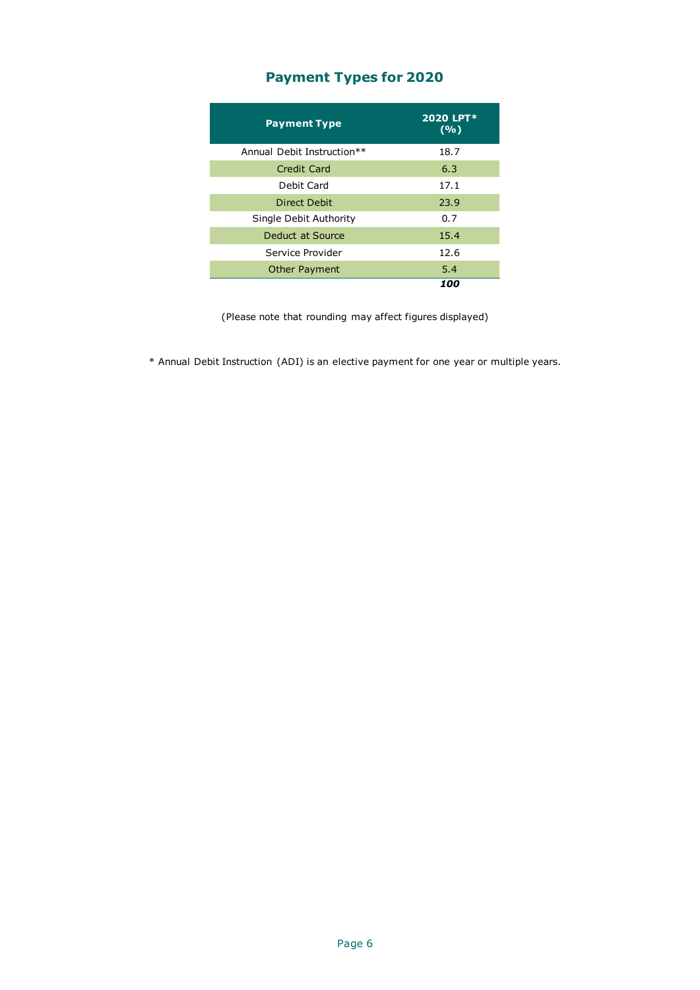## **Payment Types for 2020**

| <b>Payment Type</b>        | 2020 LPT*<br>(%)  |
|----------------------------|-------------------|
| Annual Debit Instruction** | 18.7              |
| Credit Card                | 6.3               |
| Debit Card                 | 17.1              |
| Direct Debit               | 23.9              |
| Single Debit Authority     | 0.7               |
| Deduct at Source           | 15.4              |
| Service Provider           | 12.6              |
| <b>Other Payment</b>       | 5.4               |
|                            | <i><b>100</b></i> |

(Please note that rounding may affect figures displayed)

\* Annual Debit Instruction (ADI) is an elective payment for one year or multiple years.